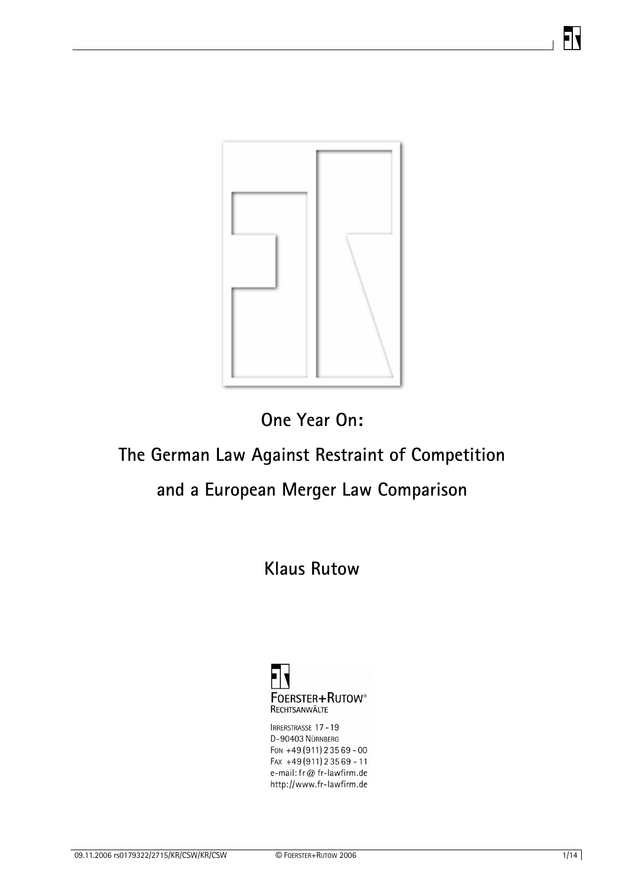

**One Year On:** 

# **The German Law Against Restraint of Competition**

# **and a European Merger Law Comparison**

**Klaus Rutow** 



IRRERSTRASSE 17-19 D-90403 NÜRNBERG Fon  $+49(911)23569 - 00$ FAX +49 (911) 235 69 - 11 e-mail: fr@ fr-lawfirm.de http://www.fr-lawfirm.de Fу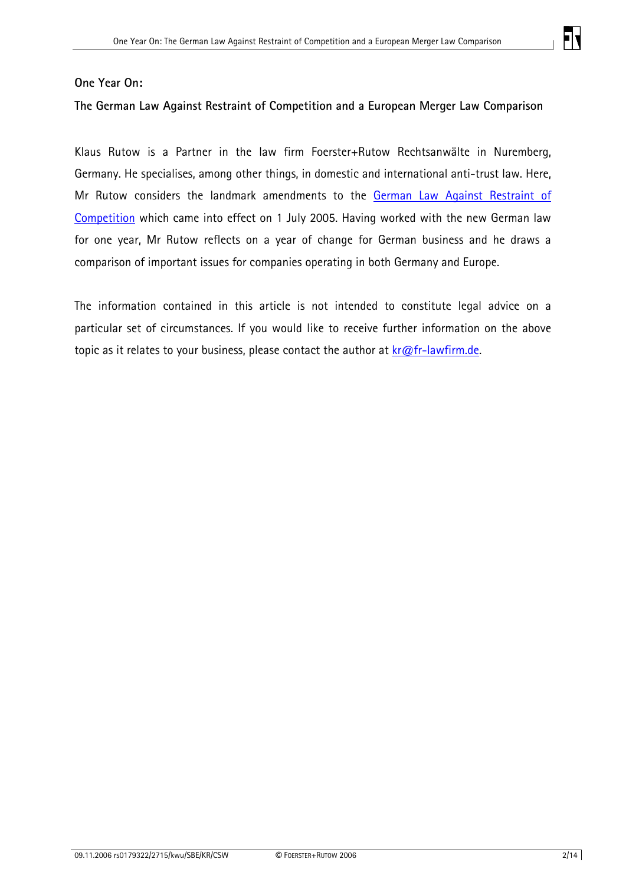### **One Year On:**

# **The German Law Against Restraint of Competition and a European Merger Law Comparison**

Klaus Rutow is a Partner in the law firm Foerster+Rutow Rechtsanwälte in Nuremberg, Germany. He specialises, among other things, in domestic and international anti-trust law. Here, Mr Rutow considers the landmark amendments to the German Law Against Restraint of [Competition](http://www.bdi-online.de/Dokumente/Recht-Wettbewerb-Versicherungen/GWBNeufassungBGBl.pdf) which came into effect on 1 July 2005. Having worked with the new German law for one year, Mr Rutow reflects on a year of change for German business and he draws a comparison of important issues for companies operating in both Germany and Europe.

The information contained in this article is not intended to constitute legal advice on a particular set of circumstances. If you would like to receive further information on the above topic as it relates to your business, please contact the author at  $kr@fr-lawfirm.de$ .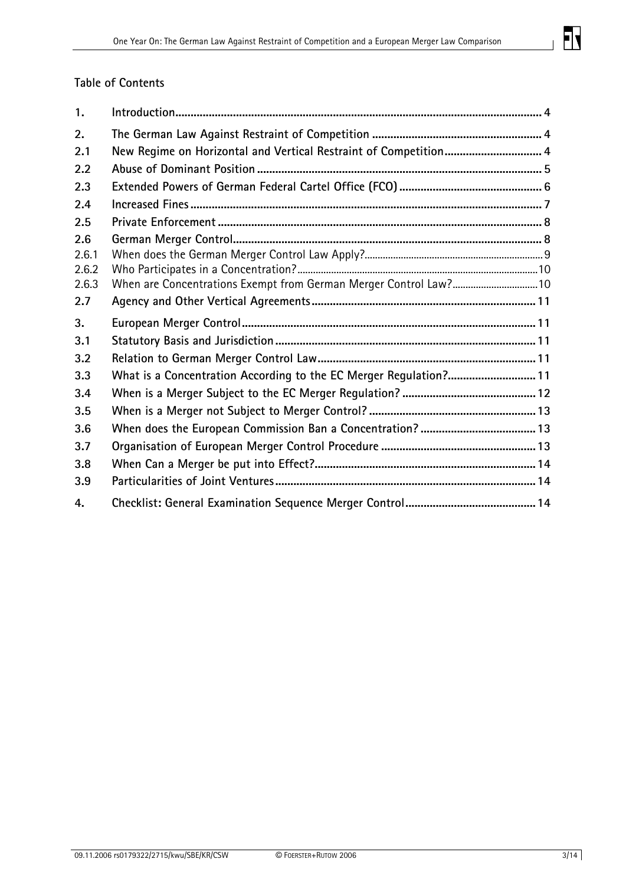# **Table of Contents**

| 1.    |                                                                   |
|-------|-------------------------------------------------------------------|
| 2.    |                                                                   |
| 2.1   | New Regime on Horizontal and Vertical Restraint of Competition 4  |
| 2.2   |                                                                   |
| 2.3   |                                                                   |
| 2.4   |                                                                   |
| 2.5   |                                                                   |
| 2.6   |                                                                   |
| 2.6.1 |                                                                   |
| 2.6.2 |                                                                   |
| 2.6.3 | When are Concentrations Exempt from German Merger Control Law? 10 |
| 2.7   |                                                                   |
|       |                                                                   |
| 3.    |                                                                   |
| 3.1   |                                                                   |
| 3.2   |                                                                   |
| 3.3   | What is a Concentration According to the EC Merger Regulation? 11 |
| 3.4   |                                                                   |
| 3.5   |                                                                   |
| 3.6   |                                                                   |
| 3.7   |                                                                   |
| 3.8   |                                                                   |
| 3.9   |                                                                   |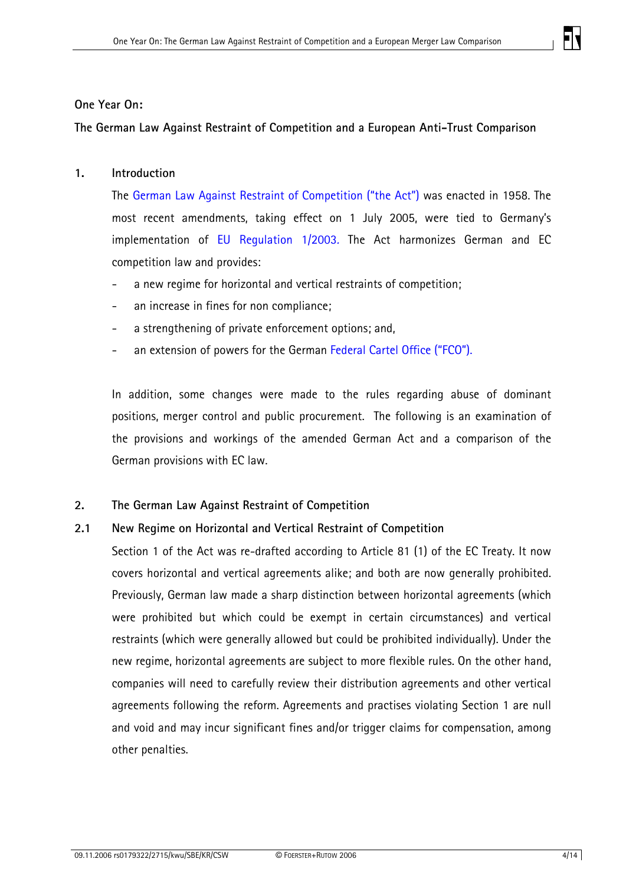### <span id="page-3-0"></span>**One Year On:**

**The German Law Against Restraint of Competition and a European Anti-Trust Comparison** 

**1. Introduction** 

The [German Law Against Restraint of Competition \("the Act"\)](http://www.bundeskartellamt.de/wEnglisch/download/pdf/06_GWB_7__Novelle_e.pdf) was enacted in 1958. The most recent amendments, taking effect on 1 July 2005, were tied to Germany's implementation of [EU Regulation 1/2003](http://europa.eu.int/eur-lex/pri/en/oj/dat/2003/l_001/l_00120030104en00010025.pdf). The Act harmonizes German and EC competition law and provides:

- a new regime for horizontal and vertical restraints of competition;
- an increase in fines for non compliance;
- a strengthening of private enforcement options; and,
- an extension of powers for the Germa[n Federal Cartel Office \("FCO"\).](http://www.bundeskartellamt.de/wEnglisch/index.shtml)

In addition, some changes were made to the rules regarding abuse of dominant positions, merger control and public procurement. The following is an examination of the provisions and workings of the amended German Act and a comparison of the German provisions with EC law.

#### **2. The German Law Against Restraint of Competition**

# **2.1 New Regime on Horizontal and Vertical Restraint of Competition**

Section 1 of the Act was re-drafted according to Article 81 (1) of the EC Treaty. It now covers horizontal and vertical agreements alike; and both are now generally prohibited. Previously, German law made a sharp distinction between horizontal agreements (which were prohibited but which could be exempt in certain circumstances) and vertical restraints (which were generally allowed but could be prohibited individually). Under the new regime, horizontal agreements are subject to more flexible rules. On the other hand, companies will need to carefully review their distribution agreements and other vertical agreements following the reform. Agreements and practises violating Section 1 are null and void and may incur significant fines and/or trigger claims for compensation, among other penalties.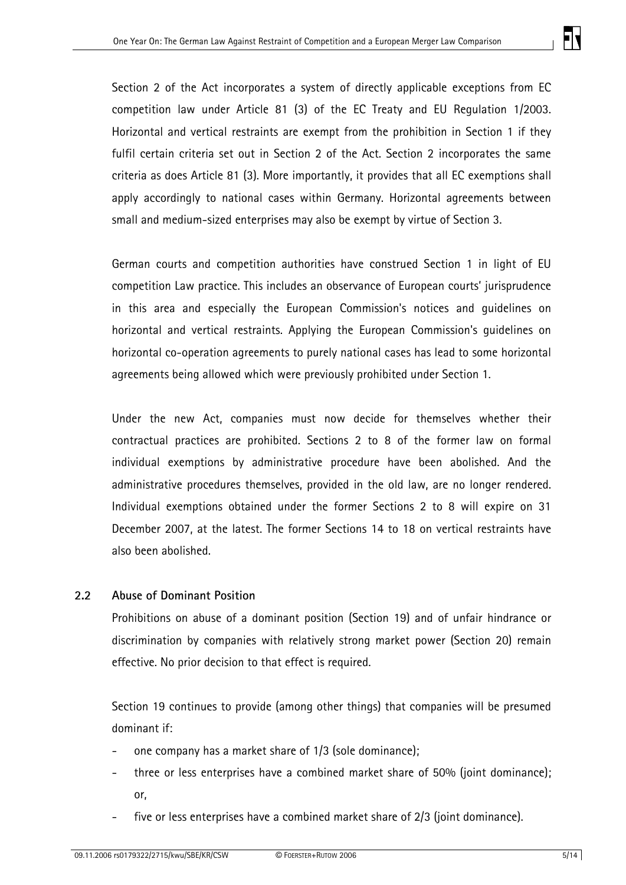<span id="page-4-0"></span>Section 2 of the Act incorporates a system of directly applicable exceptions from EC competition law under Article 81 (3) of the EC Treaty and EU Regulation 1/2003. Horizontal and vertical restraints are exempt from the prohibition in Section 1 if they fulfil certain criteria set out in Section 2 of the Act. Section 2 incorporates the same criteria as does Article 81 (3). More importantly, it provides that all EC exemptions shall apply accordingly to national cases within Germany. Horizontal agreements between small and medium-sized enterprises may also be exempt by virtue of Section 3.

German courts and competition authorities have construed Section 1 in light of EU competition Law practice. This includes an observance of European courts' jurisprudence in this area and especially the European Commission's notices and guidelines on horizontal and vertical restraints. Applying the European Commission's guidelines on horizontal co-operation agreements to purely national cases has lead to some horizontal agreements being allowed which were previously prohibited under Section 1.

Under the new Act, companies must now decide for themselves whether their contractual practices are prohibited. Sections 2 to 8 of the former law on formal individual exemptions by administrative procedure have been abolished. And the administrative procedures themselves, provided in the old law, are no longer rendered. Individual exemptions obtained under the former Sections 2 to 8 will expire on 31 December 2007, at the latest. The former Sections 14 to 18 on vertical restraints have also been abolished.

# **2.2 Abuse of Dominant Position**

Prohibitions on abuse of a dominant position (Section 19) and of unfair hindrance or discrimination by companies with relatively strong market power (Section 20) remain effective. No prior decision to that effect is required.

Section 19 continues to provide (among other things) that companies will be presumed dominant if:

- one company has a market share of 1/3 (sole dominance);
- three or less enterprises have a combined market share of 50% (joint dominance); or,
- five or less enterprises have a combined market share of 2/3 (joint dominance).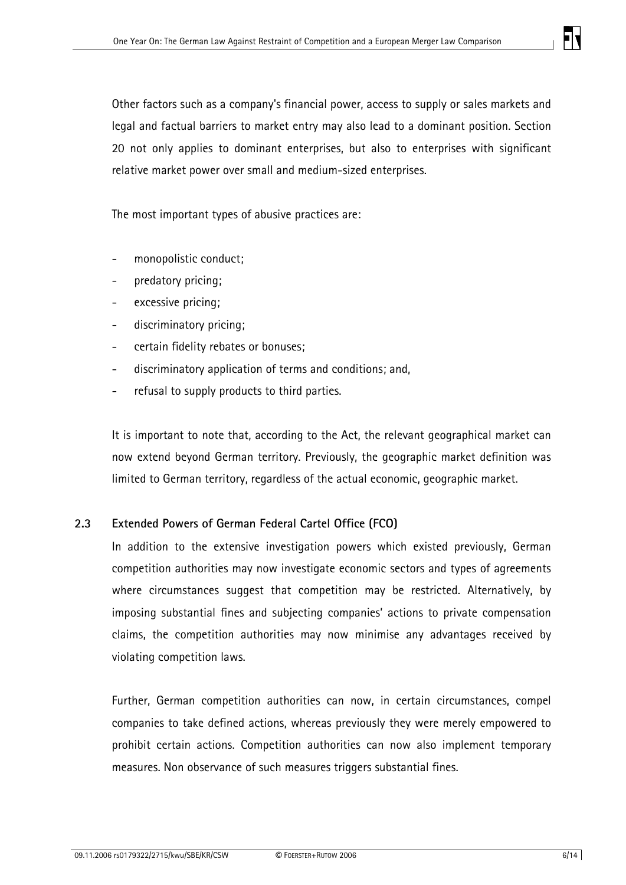<span id="page-5-0"></span>Other factors such as a company's financial power, access to supply or sales markets and legal and factual barriers to market entry may also lead to a dominant position. Section 20 not only applies to dominant enterprises, but also to enterprises with significant relative market power over small and medium-sized enterprises.

The most important types of abusive practices are:

- monopolistic conduct;
- predatory pricing;
- excessive pricing;
- discriminatory pricing;
- certain fidelity rebates or bonuses;
- discriminatory application of terms and conditions; and,
- refusal to supply products to third parties.

It is important to note that, according to the Act, the relevant geographical market can now extend beyond German territory. Previously, the geographic market definition was limited to German territory, regardless of the actual economic, geographic market.

#### **2.3 Extended Powers of German Federal Cartel Office (FCO)**

In addition to the extensive investigation powers which existed previously, German competition authorities may now investigate economic sectors and types of agreements where circumstances suggest that competition may be restricted. Alternatively, by imposing substantial fines and subjecting companies' actions to private compensation claims, the competition authorities may now minimise any advantages received by violating competition laws.

Further, German competition authorities can now, in certain circumstances, compel companies to take defined actions, whereas previously they were merely empowered to prohibit certain actions. Competition authorities can now also implement temporary measures. Non observance of such measures triggers substantial fines.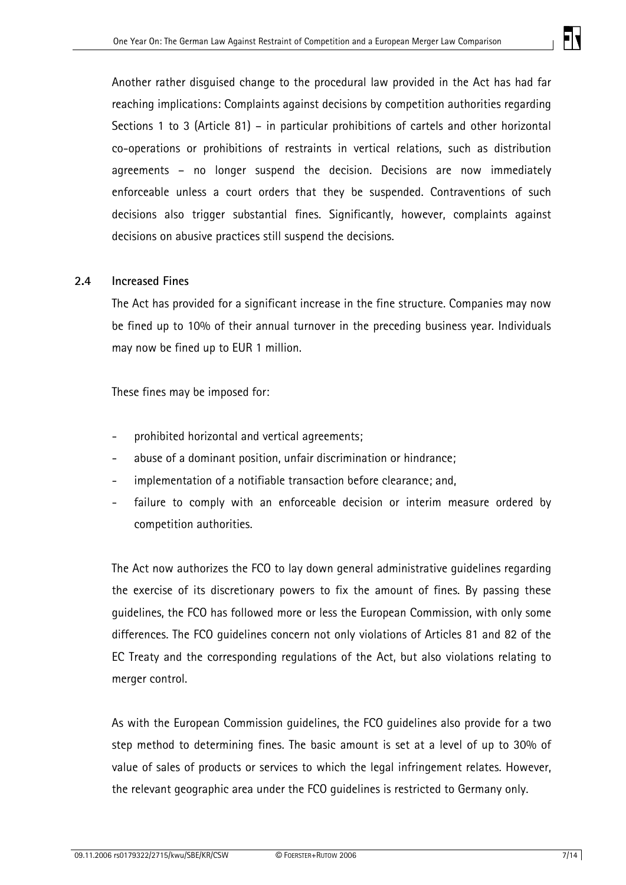

<span id="page-6-0"></span>Another rather disguised change to the procedural law provided in the Act has had far reaching implications: Complaints against decisions by competition authorities regarding Sections 1 to 3 (Article 81) – in particular prohibitions of cartels and other horizontal co-operations or prohibitions of restraints in vertical relations, such as distribution agreements – no longer suspend the decision. Decisions are now immediately enforceable unless a court orders that they be suspended. Contraventions of such decisions also trigger substantial fines. Significantly, however, complaints against decisions on abusive practices still suspend the decisions.

#### **2.4 Increased Fines**

The Act has provided for a significant increase in the fine structure. Companies may now be fined up to 10% of their annual turnover in the preceding business year. Individuals may now be fined up to EUR 1 million.

These fines may be imposed for:

- prohibited horizontal and vertical agreements;
- abuse of a dominant position, unfair discrimination or hindrance;
- implementation of a notifiable transaction before clearance; and,
- failure to comply with an enforceable decision or interim measure ordered by competition authorities.

The Act now authorizes the FCO to lay down general administrative guidelines regarding the exercise of its discretionary powers to fix the amount of fines. By passing these guidelines, the FCO has followed more or less the European Commission, with only some differences. The FCO guidelines concern not only violations of Articles 81 and 82 of the EC Treaty and the corresponding regulations of the Act, but also violations relating to merger control.

As with the European Commission guidelines, the FCO guidelines also provide for a two step method to determining fines. The basic amount is set at a level of up to 30% of value of sales of products or services to which the legal infringement relates. However, the relevant geographic area under the FCO guidelines is restricted to Germany only.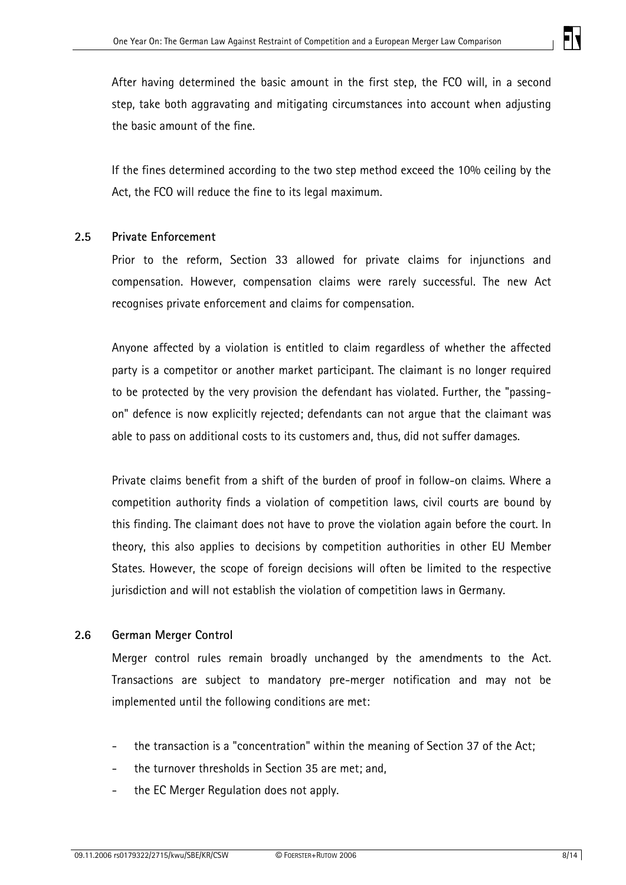<span id="page-7-0"></span>After having determined the basic amount in the first step, the FCO will, in a second step, take both aggravating and mitigating circumstances into account when adjusting the basic amount of the fine.

If the fines determined according to the two step method exceed the 10% ceiling by the Act, the FCO will reduce the fine to its legal maximum.

#### **2.5 Private Enforcement**

Prior to the reform, Section 33 allowed for private claims for injunctions and compensation. However, compensation claims were rarely successful. The new Act recognises private enforcement and claims for compensation.

Anyone affected by a violation is entitled to claim regardless of whether the affected party is a competitor or another market participant. The claimant is no longer required to be protected by the very provision the defendant has violated. Further, the "passingon" defence is now explicitly rejected; defendants can not argue that the claimant was able to pass on additional costs to its customers and, thus, did not suffer damages.

Private claims benefit from a shift of the burden of proof in follow-on claims. Where a competition authority finds a violation of competition laws, civil courts are bound by this finding. The claimant does not have to prove the violation again before the court. In theory, this also applies to decisions by competition authorities in other EU Member States. However, the scope of foreign decisions will often be limited to the respective jurisdiction and will not establish the violation of competition laws in Germany.

#### **2.6 German Merger Control**

Merger control rules remain broadly unchanged by the amendments to the Act. Transactions are subject to mandatory pre-merger notification and may not be implemented until the following conditions are met:

- the transaction is a "concentration" within the meaning of Section 37 of the Act;
- the turnover thresholds in Section 35 are met; and,
- the EC Merger Regulation does not apply.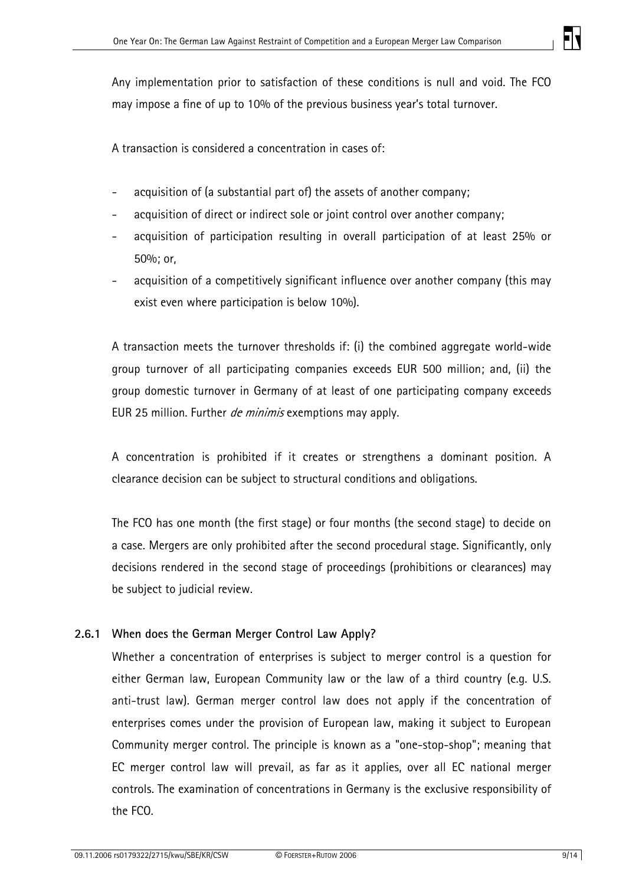<span id="page-8-0"></span>Any implementation prior to satisfaction of these conditions is null and void. The FCO may impose a fine of up to 10% of the previous business year's total turnover.

A transaction is considered a concentration in cases of:

- acquisition of (a substantial part of) the assets of another company:
- acquisition of direct or indirect sole or joint control over another company;
- acquisition of participation resulting in overall participation of at least 25% or 50%; or,
- acquisition of a competitively significant influence over another company (this may exist even where participation is below 10%).

A transaction meets the turnover thresholds if: (i) the combined aggregate world-wide group turnover of all participating companies exceeds EUR 500 million; and, (ii) the group domestic turnover in Germany of at least of one participating company exceeds EUR 25 million. Further *de minimis* exemptions may apply.

A concentration is prohibited if it creates or strengthens a dominant position. A clearance decision can be subject to structural conditions and obligations.

The FCO has one month (the first stage) or four months (the second stage) to decide on a case. Mergers are only prohibited after the second procedural stage. Significantly, only decisions rendered in the second stage of proceedings (prohibitions or clearances) may be subject to judicial review.

# **2.6.1 When does the German Merger Control Law Apply?**

Whether a concentration of enterprises is subject to merger control is a question for either German law, European Community law or the law of a third country (e.g. U.S. anti-trust law). German merger control law does not apply if the concentration of enterprises comes under the provision of European law, making it subject to European Community merger control. The principle is known as a "one-stop-shop"; meaning that EC merger control law will prevail, as far as it applies, over all EC national merger controls. The examination of concentrations in Germany is the exclusive responsibility of the FCO.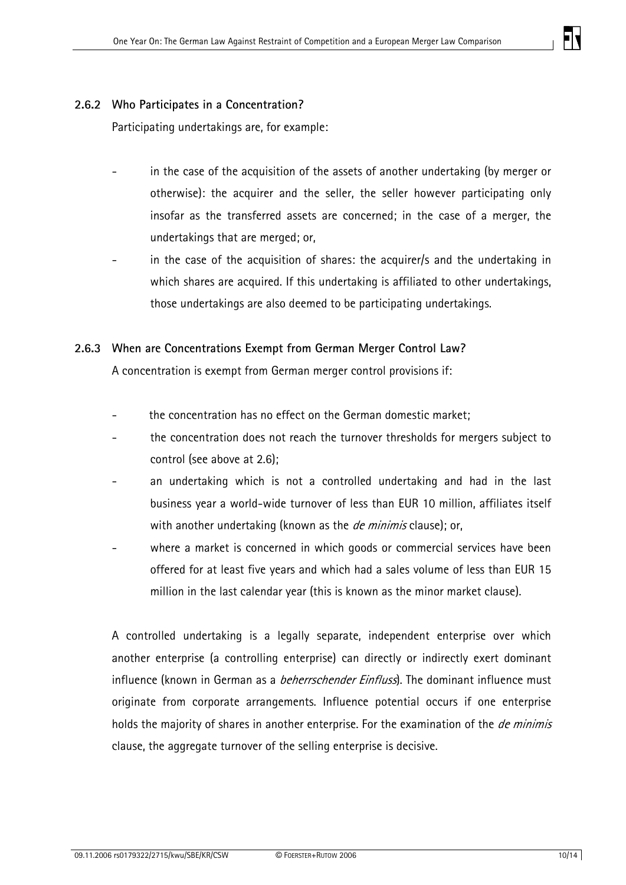#### <span id="page-9-0"></span>**2.6.2 Who Participates in a Concentration?**

Participating undertakings are, for example:

- in the case of the acquisition of the assets of another undertaking (by merger or otherwise): the acquirer and the seller, the seller however participating only insofar as the transferred assets are concerned; in the case of a merger, the undertakings that are merged; or,
- in the case of the acquisition of shares: the acquirer/s and the undertaking in which shares are acquired. If this undertaking is affiliated to other undertakings, those undertakings are also deemed to be participating undertakings.

#### **2.6.3 When are Concentrations Exempt from German Merger Control Law?**

A concentration is exempt from German merger control provisions if:

- the concentration has no effect on the German domestic market;
- the concentration does not reach the turnover thresholds for mergers subject to control (see above at 2.6);
- an undertaking which is not a controlled undertaking and had in the last business year a world-wide turnover of less than EUR 10 million, affiliates itself with another undertaking (known as the *de minimis* clause); or,
- where a market is concerned in which goods or commercial services have been offered for at least five years and which had a sales volume of less than EUR 15 million in the last calendar year (this is known as the minor market clause).

A controlled undertaking is a legally separate, independent enterprise over which another enterprise (a controlling enterprise) can directly or indirectly exert dominant influence (known in German as a *beherrschender Einfluss*). The dominant influence must originate from corporate arrangements. Influence potential occurs if one enterprise holds the majority of shares in another enterprise. For the examination of the de minimis clause, the aggregate turnover of the selling enterprise is decisive.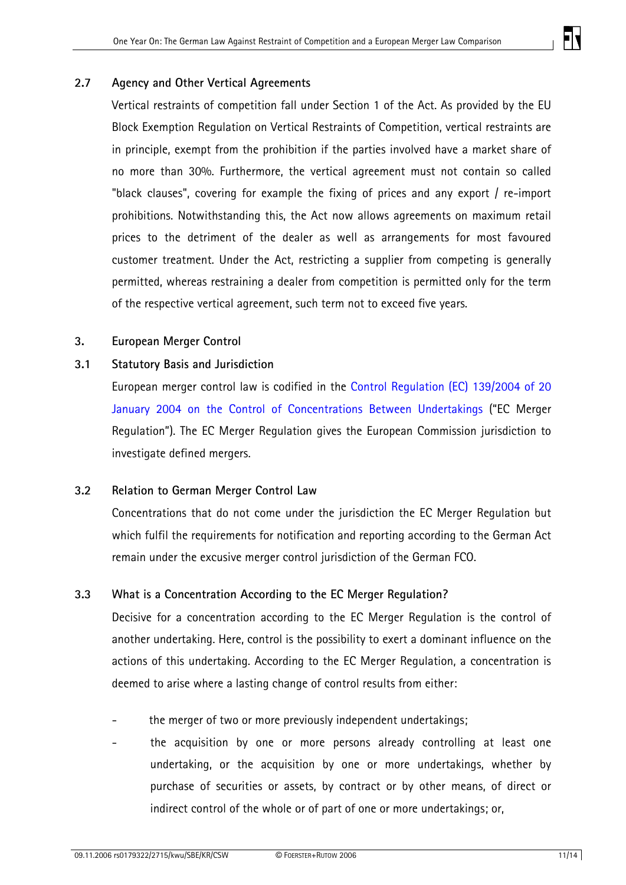### <span id="page-10-0"></span>**2.7 Agency and Other Vertical Agreements**

Vertical restraints of competition fall under Section 1 of the Act. As provided by the EU Block Exemption Regulation on Vertical Restraints of Competition, vertical restraints are in principle, exempt from the prohibition if the parties involved have a market share of no more than 30%. Furthermore, the vertical agreement must not contain so called "black clauses", covering for example the fixing of prices and any export / re-import prohibitions. Notwithstanding this, the Act now allows agreements on maximum retail prices to the detriment of the dealer as well as arrangements for most favoured customer treatment. Under the Act, restricting a supplier from competing is generally permitted, whereas restraining a dealer from competition is permitted only for the term of the respective vertical agreement, such term not to exceed five years.

#### **3. European Merger Control**

#### **3.1 Statutory Basis and Jurisdiction**

[European merger control law is codified in the Control Regulation \(EC\) 139/2004 of 20](http://europa.eu.int/eur-lex/pri/en/oj/dat/2004/l_024/l_02420040129en00010022.pdf) January 2004 on the Control of Concentrations Between Undertakings ("EC Merger Regulation"). The EC Merger Regulation gives the European Commission jurisdiction to investigate defined mergers.

# **3.2 Relation to German Merger Control Law**

Concentrations that do not come under the jurisdiction the EC Merger Regulation but which fulfil the requirements for notification and reporting according to the German Act remain under the excusive merger control jurisdiction of the German FCO.

# **3.3 What is a Concentration According to the EC Merger Regulation?**

Decisive for a concentration according to the EC Merger Regulation is the control of another undertaking. Here, control is the possibility to exert a dominant influence on the actions of this undertaking. According to the EC Merger Regulation, a concentration is deemed to arise where a lasting change of control results from either:

- the merger of two or more previously independent undertakings;
- the acquisition by one or more persons already controlling at least one undertaking, or the acquisition by one or more undertakings, whether by purchase of securities or assets, by contract or by other means, of direct or indirect control of the whole or of part of one or more undertakings; or,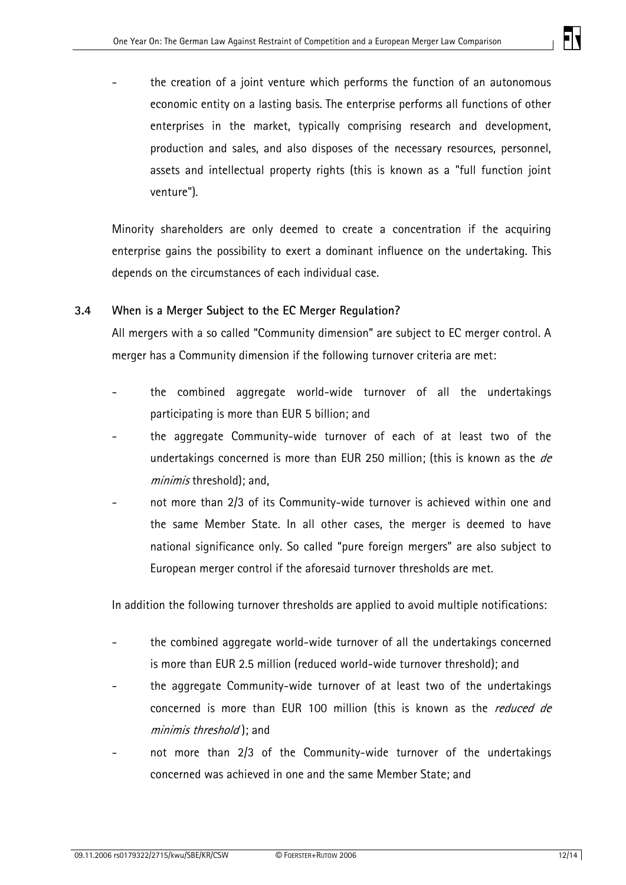<span id="page-11-0"></span>the creation of a joint venture which performs the function of an autonomous economic entity on a lasting basis. The enterprise performs all functions of other enterprises in the market, typically comprising research and development, production and sales, and also disposes of the necessary resources, personnel, assets and intellectual property rights (this is known as a "full function joint venture").

Minority shareholders are only deemed to create a concentration if the acquiring enterprise gains the possibility to exert a dominant influence on the undertaking. This depends on the circumstances of each individual case.

# **3.4 When is a Merger Subject to the EC Merger Regulation?**

All mergers with a so called "Community dimension" are subject to EC merger control. A merger has a Community dimension if the following turnover criteria are met:

- the combined aggregate world-wide turnover of all the undertakings participating is more than EUR 5 billion; and
- the aggregate Community-wide turnover of each of at least two of the undertakings concerned is more than EUR 250 million; (this is known as the de *minimis* threshold); and,
- not more than 2/3 of its Community-wide turnover is achieved within one and the same Member State. In all other cases, the merger is deemed to have national significance only. So called "pure foreign mergers" are also subject to European merger control if the aforesaid turnover thresholds are met.

In addition the following turnover thresholds are applied to avoid multiple notifications:

- the combined aggregate world-wide turnover of all the undertakings concerned is more than EUR 2.5 million (reduced world-wide turnover threshold); and
- the aggregate Community-wide turnover of at least two of the undertakings concerned is more than EUR 100 million (this is known as the *reduced de* minimis threshold); and
- not more than 2/3 of the Community-wide turnover of the undertakings concerned was achieved in one and the same Member State; and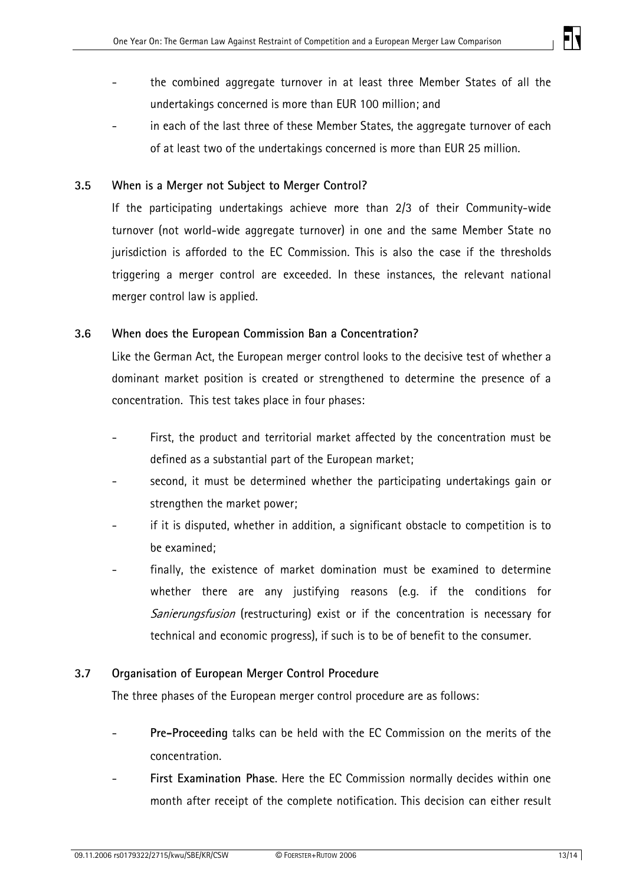- <span id="page-12-0"></span>the combined aggregate turnover in at least three Member States of all the undertakings concerned is more than EUR 100 million; and
- in each of the last three of these Member States, the aggregate turnover of each of at least two of the undertakings concerned is more than EUR 25 million.

# **3.5 When is a Merger not Subject to Merger Control?**

If the participating undertakings achieve more than 2/3 of their Community-wide turnover (not world-wide aggregate turnover) in one and the same Member State no jurisdiction is afforded to the EC Commission. This is also the case if the thresholds triggering a merger control are exceeded. In these instances, the relevant national merger control law is applied.

#### **3.6 When does the European Commission Ban a Concentration?**

Like the German Act, the European merger control looks to the decisive test of whether a dominant market position is created or strengthened to determine the presence of a concentration. This test takes place in four phases:

- First, the product and territorial market affected by the concentration must be defined as a substantial part of the European market;
- second, it must be determined whether the participating undertakings gain or strengthen the market power;
- if it is disputed, whether in addition, a significant obstacle to competition is to be examined;
- finally, the existence of market domination must be examined to determine whether there are any justifying reasons (e.g. if the conditions for Sanierungsfusion (restructuring) exist or if the concentration is necessary for technical and economic progress), if such is to be of benefit to the consumer.

# **3.7 Organisation of European Merger Control Procedure**

The three phases of the European merger control procedure are as follows:

- **Pre-Proceeding** talks can be held with the EC Commission on the merits of the concentration.
- **First Examination Phase**. Here the EC Commission normally decides within one month after receipt of the complete notification. This decision can either result